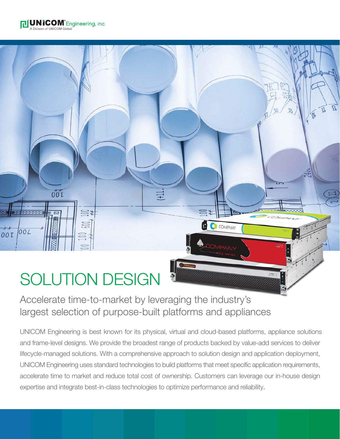



# SOLUTION DESIGN

### Accelerate time-to-market by leveraging the industry's largest selection of purpose-built platforms and appliances

UNICOM Engineering is best known for its physical, virtual and cloud-based platforms, appliance solutions and frame-level designs. We provide the broadest range of products backed by value-add services to deliver lifecycle-managed solutions. With a comprehensive approach to solution design and application deployment, UNICOM Engineering uses standard technologies to build platforms that meet specific application requirements, accelerate time to market and reduce total cost of ownership. Customers can leverage our in-house design expertise and integrate best-in-class technologies to optimize performance and reliability.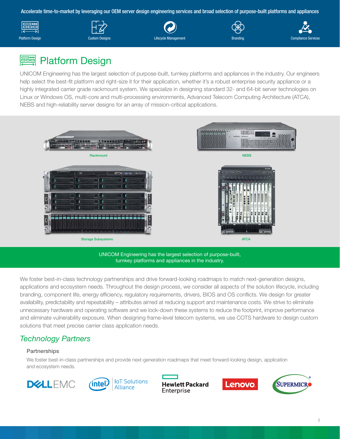Accelerate time-to-market by leveraging our OEM server design engineering services and broad selection of purpose-built platforms and appliances









## Platform Design

UNICOM Engineering has the largest selection of purpose-built, turnkey platforms and appliances in the industry. Our engineers help select the best-fit platform and right-size it for their application, whether it's a robust enterprise security appliance or a highly integrated carrier grade rackmount system. We specialize in designing standard 32- and 64-bit server technologies on Linux or Windows OS, multi-core and multi-processing environments, Advanced Telecom Computing Architecture (ATCA), NEBS and high-reliability server designs for an array of mission-critical applications.



UNICOM Engineering has the largest selection of purpose-built, turnkey platforms and appliances in the industry.

We foster best-in-class technology partnerships and drive forward-looking roadmaps to match next-generation designs, applications and ecosystem needs. Throughout the design process, we consider all aspects of the solution lifecycle, including branding, component life, energy efficiency, regulatory requirements, drivers, BIOS and OS conflicts. We design for greater availability, predictability and repeatability – attributes aimed at reducing support and maintenance costs. We strive to eliminate unnecessary hardware and operating software and we lock-down these systems to reduce the footprint, improve performance and eliminate vulnerability exposure. When designing frame-level telecom systems, we use COTS hardware to design custom solutions that meet precise carrier class application needs.

### *Technology Partners*

#### **Partnerships**

We foster best-in-class partnerships and provide next-generation roadmaps that meet forward-looking design, application and ecosystem needs.





**Hewlett Packard Enterprise** 



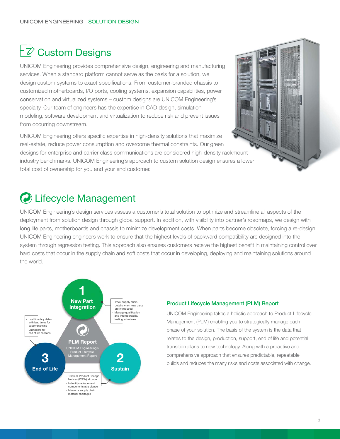# EZ Custom Designs

UNICOM Engineering provides comprehensive design, engineering and manufacturing services. When a standard platform cannot serve as the basis for a solution, we design custom systems to exact specifications. From customer-branded chassis to customized motherboards, I/O ports, cooling systems, expansion capabilities, power conservation and virtualized systems – custom designs are UNICOM Engineering's specialty. Our team of engineers has the expertise in CAD design, simulation modeling, software development and virtualization to reduce risk and prevent issues from occurring downstream.

UNICOM Engineering offers specific expertise in high-density solutions that maximize real-estate, reduce power consumption and overcome thermal constraints. Our green designs for enterprise and carrier class communications are considered high-density rackmount industry benchmarks. UNICOM Engineering's approach to custom solution design ensures a lower total cost of ownership for you and your end customer.

## Lifecycle Management

UNICOM Engineering's design services assess a customer's total solution to optimize and streamline all aspects of the deployment from solution design through global support. In addition, with visibility into partner's roadmaps, we design with long life parts, motherboards and chassis to minimize development costs. When parts become obsolete, forcing a re-design, UNICOM Engineering engineers work to ensure that the highest levels of backward compatibility are designed into the system through regression testing. This approach also ensures customers receive the highest benefit in maintaining control over hard costs that occur in the supply chain and soft costs that occur in developing, deploying and maintaining solutions around the world.



#### **Product Lifecycle Management (PLM) Report**

UNICOM Engineering takes a holistic approach to Product Lifecycle Management (PLM) enabling you to strategically manage each phase of your solution. The basis of the system is the data that relates to the design, production, support, end of life and potential transition plans to new technology. Along with a proactive and comprehensive approach that ensures predictable, repeatable builds and reduces the many risks and costs associated with change.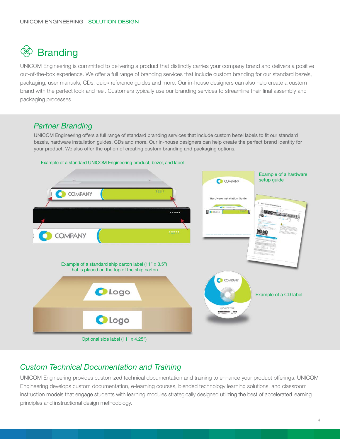# **Branding**

UNICOM Engineering is committed to delivering a product that distinctly carries your company brand and delivers a positive out-of-the-box experience. We offer a full range of branding services that include custom branding for our standard bezels, packaging, user manuals, CDs, quick reference guides and more. Our in-house designers can also help create a custom brand with the perfect look and feel. Customers typically use our branding services to streamline their final assembly and packaging processes.

#### *Partner Branding*

UNICOM Engineering offers a full range of standard branding services that include custom bezel labels to fit our standard bezels, hardware installation guides, CDs and more. Our in-house designers can help create the perfect brand identity for your product. We also offer the option of creating custom branding and packaging options.



#### *Custom Technical Documentation and Training*

UNICOM Engineering provides customized technical documentation and training to enhance your product offerings. UNICOM Engineering develops custom documentation, e-learning courses, blended technology learning solutions, and classroom instruction models that engage students with learning modules strategically designed utilizing the best of accelerated learning principles and instructional design methodology.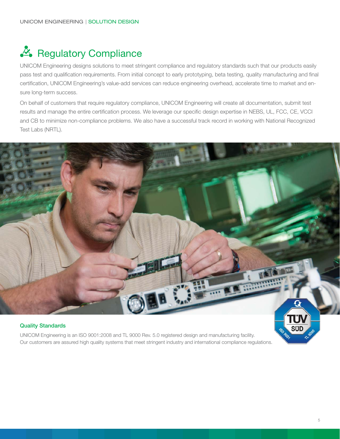# Regulatory Compliance

UNICOM Engineering designs solutions to meet stringent compliance and regulatory standards such that our products easily pass test and qualification requirements. From initial concept to early prototyping, beta testing, quality manufacturing and final certification, UNICOM Engineering's value-add services can reduce engineering overhead, accelerate time to market and ensure long-term success.

On behalf of customers that require regulatory compliance, UNICOM Engineering will create all documentation, submit test results and manage the entire certification process. We leverage our specific design expertise in NEBS, UL, FCC, CE, VCCI and CB to minimize non-compliance problems. We also have a successful track record in working with National Recognized Test Labs (NRTL).

#### **Quality Standards**

UNICOM Engineering is an ISO 9001:2008 and TL 9000 Rev. 5.0 registered design and manufacturing facility. Our customers are assured high quality systems that meet stringent industry and international compliance regulations.